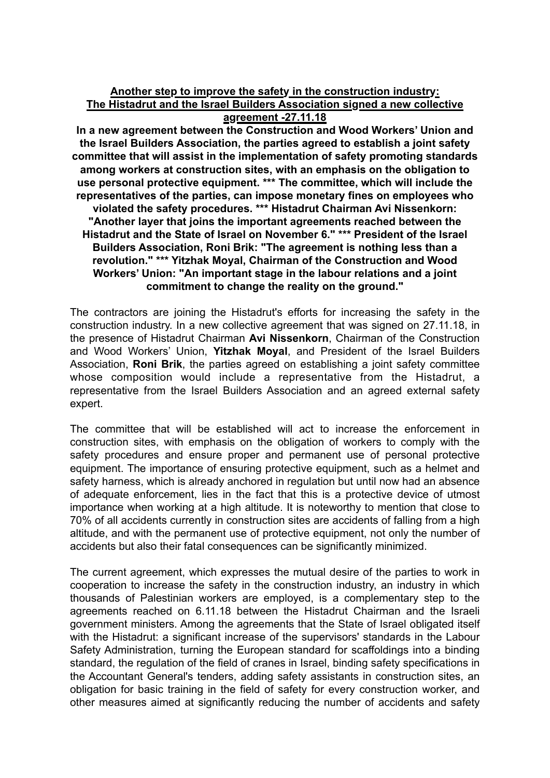## **Another step to improve the safety in the construction industry: The Histadrut and the Israel Builders Association signed a new collective agreement -27.11.18**

**In a new agreement between the Construction and Wood Workers' Union and the Israel Builders Association, the parties agreed to establish a joint safety committee that will assist in the implementation of safety promoting standards among workers at construction sites, with an emphasis on the obligation to use personal protective equipment. \*\*\* The committee, which will include the representatives of the parties, can impose monetary fines on employees who violated the safety procedures. \*\*\* Histadrut Chairman Avi Nissenkorn: "Another layer that joins the important agreements reached between the Histadrut and the State of Israel on November 6." \*\*\* President of the Israel Builders Association, Roni Brik: "The agreement is nothing less than a revolution." \*\*\* Yitzhak Moyal, Chairman of the Construction and Wood Workers' Union: "An important stage in the labour relations and a joint commitment to change the reality on the ground."**

The contractors are joining the Histadrut's efforts for increasing the safety in the construction industry. In a new collective agreement that was signed on 27.11.18, in the presence of Histadrut Chairman **Avi Nissenkorn**, Chairman of the Construction and Wood Workers' Union, **Yitzhak Moyal**, and President of the Israel Builders Association, **Roni Brik**, the parties agreed on establishing a joint safety committee whose composition would include a representative from the Histadrut, a representative from the Israel Builders Association and an agreed external safety expert.

The committee that will be established will act to increase the enforcement in construction sites, with emphasis on the obligation of workers to comply with the safety procedures and ensure proper and permanent use of personal protective equipment. The importance of ensuring protective equipment, such as a helmet and safety harness, which is already anchored in regulation but until now had an absence of adequate enforcement, lies in the fact that this is a protective device of utmost importance when working at a high altitude. It is noteworthy to mention that close to 70% of all accidents currently in construction sites are accidents of falling from a high altitude, and with the permanent use of protective equipment, not only the number of accidents but also their fatal consequences can be significantly minimized.

The current agreement, which expresses the mutual desire of the parties to work in cooperation to increase the safety in the construction industry, an industry in which thousands of Palestinian workers are employed, is a complementary step to the agreements reached on 6.11.18 between the Histadrut Chairman and the Israeli government ministers. Among the agreements that the State of Israel obligated itself with the Histadrut: a significant increase of the supervisors' standards in the Labour Safety Administration, turning the European standard for scaffoldings into a binding standard, the regulation of the field of cranes in Israel, binding safety specifications in the Accountant General's tenders, adding safety assistants in construction sites, an obligation for basic training in the field of safety for every construction worker, and other measures aimed at significantly reducing the number of accidents and safety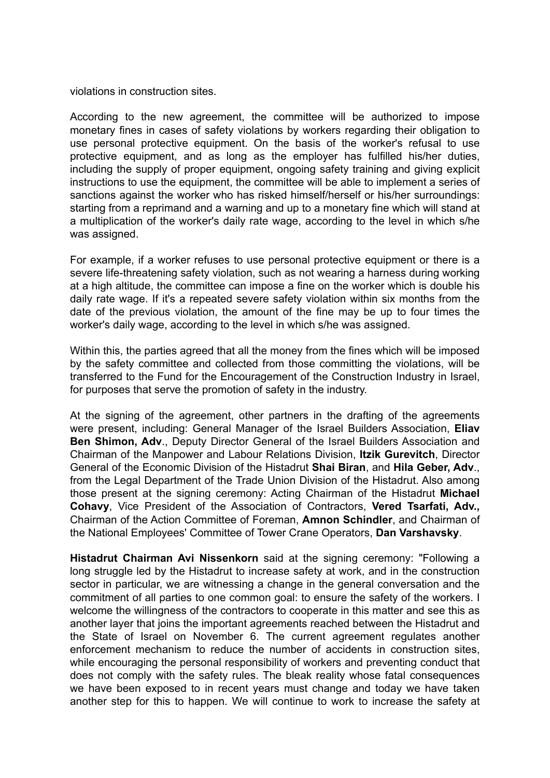violations in construction sites.

According to the new agreement, the committee will be authorized to impose monetary fines in cases of safety violations by workers regarding their obligation to use personal protective equipment. On the basis of the worker's refusal to use protective equipment, and as long as the employer has fulfilled his/her duties, including the supply of proper equipment, ongoing safety training and giving explicit instructions to use the equipment, the committee will be able to implement a series of sanctions against the worker who has risked himself/herself or his/her surroundings: starting from a reprimand and a warning and up to a monetary fine which will stand at a multiplication of the worker's daily rate wage, according to the level in which s/he was assigned.

For example, if a worker refuses to use personal protective equipment or there is a severe life-threatening safety violation, such as not wearing a harness during working at a high altitude, the committee can impose a fine on the worker which is double his daily rate wage. If it's a repeated severe safety violation within six months from the date of the previous violation, the amount of the fine may be up to four times the worker's daily wage, according to the level in which s/he was assigned.

Within this, the parties agreed that all the money from the fines which will be imposed by the safety committee and collected from those committing the violations, will be transferred to the Fund for the Encouragement of the Construction Industry in Israel, for purposes that serve the promotion of safety in the industry.

At the signing of the agreement, other partners in the drafting of the agreements were present, including: General Manager of the Israel Builders Association, **Eliav Ben Shimon, Adv**., Deputy Director General of the Israel Builders Association and Chairman of the Manpower and Labour Relations Division, **Itzik Gurevitch**, Director General of the Economic Division of the Histadrut **Shai Biran**, and **Hila Geber, Adv**., from the Legal Department of the Trade Union Division of the Histadrut. Also among those present at the signing ceremony: Acting Chairman of the Histadrut **Michael Cohavy**, Vice President of the Association of Contractors, **Vered Tsarfati, Adv.,** Chairman of the Action Committee of Foreman, **Amnon Schindler**, and Chairman of the National Employees' Committee of Tower Crane Operators, **Dan Varshavsky**.

**Histadrut Chairman Avi Nissenkorn** said at the signing ceremony: "Following a long struggle led by the Histadrut to increase safety at work, and in the construction sector in particular, we are witnessing a change in the general conversation and the commitment of all parties to one common goal: to ensure the safety of the workers. I welcome the willingness of the contractors to cooperate in this matter and see this as another layer that joins the important agreements reached between the Histadrut and the State of Israel on November 6. The current agreement regulates another enforcement mechanism to reduce the number of accidents in construction sites, while encouraging the personal responsibility of workers and preventing conduct that does not comply with the safety rules. The bleak reality whose fatal consequences we have been exposed to in recent years must change and today we have taken another step for this to happen. We will continue to work to increase the safety at